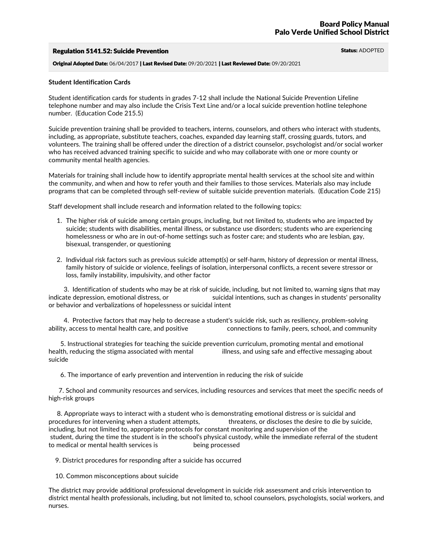## Regulation 5141.52: Suicide Prevention Suite And Status: ADOPTED Status: ADOPTED

Original Adopted Date: 06/04/2017 | Last Revised Date: 09/20/2021 | Last Reviewed Date: 09/20/2021

### **Student Identification Cards**

Student identification cards for students in grades 7-12 shall include the National Suicide Prevention Lifeline telephone number and may also include the Crisis Text Line and/or a local suicide prevention hotline telephone number. (Education Code 215.5)

Suicide prevention training shall be provided to teachers, interns, counselors, and others who interact with students, including, as appropriate, substitute teachers, coaches, expanded day learning staff, crossing guards, tutors, and volunteers. The training shall be offered under the direction of a district counselor, psychologist and/or social worker who has received advanced training specific to suicide and who may collaborate with one or more county or community mental health agencies.

Materials for training shall include how to identify appropriate mental health services at the school site and within the community, and when and how to refer youth and their families to those services. Materials also may include programs that can be completed through self-review of suitable suicide prevention materials. (Education Code 215)

Staff development shall include research and information related to the following topics:

- 1. The higher risk of suicide among certain groups, including, but not limited to, students who are impacted by suicide; students with disabilities, mental illness, or substance use disorders; students who are experiencing homelessness or who are in out-of-home settings such as foster care; and students who are lesbian, gay, bisexual, transgender, or questioning
- 2. Individual risk factors such as previous suicide attempt(s) or self-harm, history of depression or mental illness, family history of suicide or violence, feelings of isolation, interpersonal conflicts, a recent severe stressor or loss, family instability, impulsivity, and other factor

3. Identification of students who may be at risk of suicide, including, but not limited to, warning signs that may indicate depression, emotional distress, or suicidal intentions, such as changes in students' personality or behavior and verbalizations of hopelessness or suicidal intent

4. Protective factors that may help to decrease a student's suicide risk, such as resiliency, problem-solving ability, access to mental health care, and positive connections to family, peers, school, and community

5. Instructional strategies for teaching the suicide prevention curriculum, promoting mental and emotional health, reducing the stigma associated with mental illness, and using safe and effective messaging about suicide

6. The importance of early prevention and intervention in reducing the risk of suicide

7. School and community resources and services, including resources and services that meet the specific needs of high-risk groups

8. Appropriate ways to interact with a student who is demonstrating emotional distress or is suicidal and procedures for intervening when a student attempts, threatens, or discloses the desire to die by suicide, including, but not limited to, appropriate protocols for constant monitoring and supervision of the student, during the time the student is in the school's physical custody, while the immediate referral of the student to medical or mental health services is being processed

9. District procedures for responding after a suicide has occurred

10. Common misconceptions about suicide

The district may provide additional professional development in suicide risk assessment and crisis intervention to district mental health professionals, including, but not limited to, school counselors, psychologists, social workers, and nurses.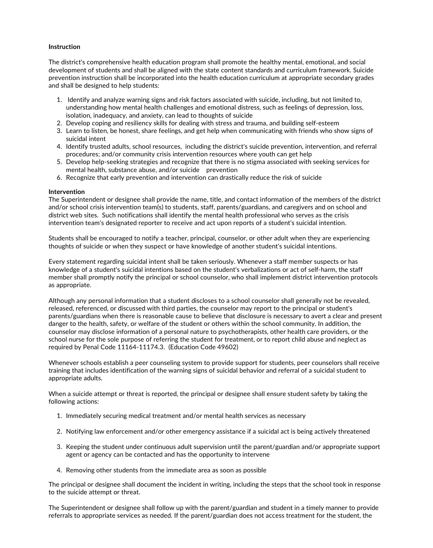# **Instruction**

The district's comprehensive health education program shall promote the healthy mental, emotional, and social development of students and shall be aligned with the state content standards and curriculum framework. Suicide prevention instruction shall be incorporated into the health education curriculum at appropriate secondary grades and shall be designed to help students:

- 1. Identify and analyze warning signs and risk factors associated with suicide, including, but not limited to, understanding how mental health challenges and emotional distress, such as feelings of depression, loss, isolation, inadequacy, and anxiety, can lead to thoughts of suicide
- 2. Develop coping and resiliency skills for dealing with stress and trauma, and building self-esteem
- 3. Learn to listen, be honest, share feelings, and get help when communicating with friends who show signs of suicidal intent
- 4. Identify trusted adults, school resources, including the district's suicide prevention, intervention, and referral procedures; and/or community crisis intervention resources where youth can get help
- 5. Develop help-seeking strategies and recognize that there is no stigma associated with seeking services for mental health, substance abuse, and/or suicide prevention
- 6. Recognize that early prevention and intervention can drastically reduce the risk of suicide

### **Intervention**

The Superintendent or designee shall provide the name, title, and contact information of the members of the district and/or school crisis intervention team(s) to students, staff, parents/guardians, and caregivers and on school and district web sites. Such notifications shall identify the mental health professional who serves as the crisis intervention team's designated reporter to receive and act upon reports of a student's suicidal intention.

Students shall be encouraged to notify a teacher, principal, counselor, or other adult when they are experiencing thoughts of suicide or when they suspect or have knowledge of another student's suicidal intentions.

Every statement regarding suicidal intent shall be taken seriously. Whenever a staff member suspects or has knowledge of a student's suicidal intentions based on the student's verbalizations or act of self-harm, the staff member shall promptly notify the principal or school counselor, who shall implement district intervention protocols as appropriate.

Although any personal information that a student discloses to a school counselor shall generally not be revealed, released, referenced, or discussed with third parties, the counselor may report to the principal or student's parents/guardians when there is reasonable cause to believe that disclosure is necessary to avert a clear and present danger to the health, safety, or welfare of the student or others within the school community. In addition, the counselor may disclose information of a personal nature to psychotherapists, other health care providers, or the school nurse for the sole purpose of referring the student for treatment, or to report child abuse and neglect as required by Penal Code 11164-11174.3. (Education Code 49602)

Whenever schools establish a peer counseling system to provide support for students, peer counselors shall receive training that includes identification of the warning signs of suicidal behavior and referral of a suicidal student to appropriate adults.

When a suicide attempt or threat is reported, the principal or designee shall ensure student safety by taking the following actions:

- 1. Immediately securing medical treatment and/or mental health services as necessary
- 2. Notifying law enforcement and/or other emergency assistance if a suicidal act is being actively threatened
- 3. Keeping the student under continuous adult supervision until the parent/guardian and/or appropriate support agent or agency can be contacted and has the opportunity to intervene
- 4. Removing other students from the immediate area as soon as possible

The principal or designee shall document the incident in writing, including the steps that the school took in response to the suicide attempt or threat.

The Superintendent or designee shall follow up with the parent/guardian and student in a timely manner to provide referrals to appropriate services as needed. If the parent/guardian does not access treatment for the student, the